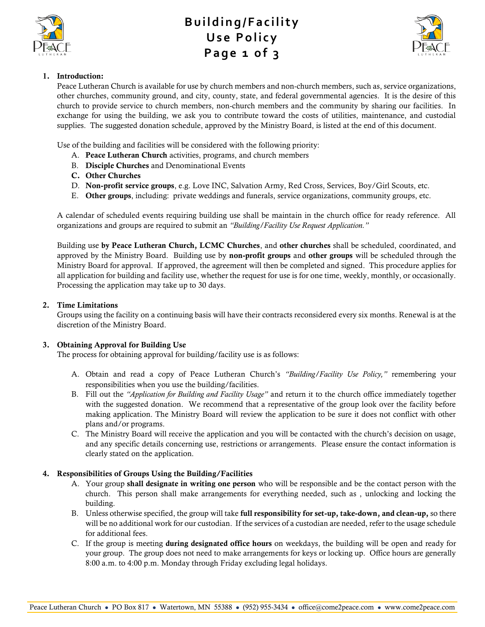

# **B u i l d i n g / F a c i l i t y U s e P o l i c y P a g e 1 of 3**



# 1. Introduction:

Peace Lutheran Church is available for use by church members and non-church members, such as, service organizations, other churches, community ground, and city, county, state, and federal governmental agencies. It is the desire of this church to provide service to church members, non-church members and the community by sharing our facilities. In exchange for using the building, we ask you to contribute toward the costs of utilities, maintenance, and custodial supplies. The suggested donation schedule, approved by the Ministry Board, is listed at the end of this document.

Use of the building and facilities will be considered with the following priority:

- A. Peace Lutheran Church activities, programs, and church members
- B. Disciple Churches and Denominational Events
- C. Other Churches
- D. Non-profit service groups, e.g. Love INC, Salvation Army, Red Cross, Services, Boy/Girl Scouts, etc.
- E. Other groups, including: private weddings and funerals, service organizations, community groups, etc.

A calendar of scheduled events requiring building use shall be maintain in the church office for ready reference. All organizations and groups are required to submit an *"Building/Facility Use Request Application."*

Building use by Peace Lutheran Church, LCMC Churches, and other churches shall be scheduled, coordinated, and approved by the Ministry Board. Building use by non-profit groups and other groups will be scheduled through the Ministry Board for approval. If approved, the agreement will then be completed and signed. This procedure applies for all application for building and facility use, whether the request for use is for one time, weekly, monthly, or occasionally. Processing the application may take up to 30 days.

### 2. Time Limitations

Groups using the facility on a continuing basis will have their contracts reconsidered every six months. Renewal is at the discretion of the Ministry Board.

#### 3. Obtaining Approval for Building Use

The process for obtaining approval for building/facility use is as follows:

- A. Obtain and read a copy of Peace Lutheran Church's *"Building/Facility Use Policy,"* remembering your responsibilities when you use the building/facilities.
- B. Fill out the *"Application for Building and Facility Usage"* and return it to the church office immediately together with the suggested donation. We recommend that a representative of the group look over the facility before making application. The Ministry Board will review the application to be sure it does not conflict with other plans and/or programs.
- C. The Ministry Board will receive the application and you will be contacted with the church's decision on usage, and any specific details concerning use, restrictions or arrangements. Please ensure the contact information is clearly stated on the application.

#### 4. Responsibilities of Groups Using the Building/Facilities

- A. Your group shall designate in writing one person who will be responsible and be the contact person with the church. This person shall make arrangements for everything needed, such as , unlocking and locking the building.
- B. Unless otherwise specified, the group will take full responsibility for set-up, take-down, and clean-up, so there will be no additional work for our custodian. If the services of a custodian are needed, refer to the usage schedule for additional fees.
- C. If the group is meeting during designated office hours on weekdays, the building will be open and ready for your group. The group does not need to make arrangements for keys or locking up. Office hours are generally 8:00 a.m. to 4:00 p.m. Monday through Friday excluding legal holidays.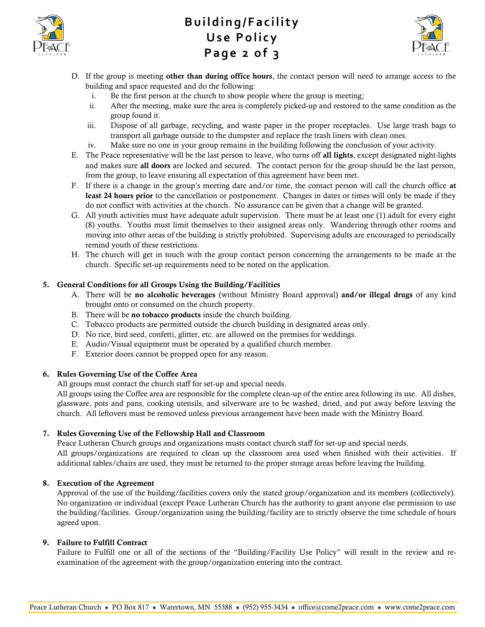

# **B u i l d i n g / F a c i l i t y U s e P o l i c y P a g e 2 of 3**



- D. If the group is meeting other than during office hours, the contact person will need to arrange access to the building and space requested and do the following:
	- i. Be the first person at the church to show people where the group is meeting;
	- ii. After the meeting, make sure the area is completely picked-up and restored to the same condition as the group found it.
	- iii. Dispose of all garbage, recycling, and waste paper in the proper receptacles. Use large trash bags to transport all garbage outside to the dumpster and replace the trash liners with clean ones.
	- iv. Make sure no one in your group remains in the building following the conclusion of your activity.
- E. The Peace representative will be the last person to leave, who turns off all lights, except designated night-lights and makes sure all doors are locked and secured. The contact person for the group should be the last person, from the group, to leave ensuring all expectation of this agreement have been met.
- F. If there is a change in the group's meeting date and/or time, the contact person will call the church office at least 24 hours prior to the cancellation or postponement. Changes in dates or times will only be made if they do not conflict with activities at the church. No assurance can be given that a change will be granted.
- G. All youth activities must have adequate adult supervision. There must be at least one (1) adult for every eight (8) youths. Youths must limit themselves to their assigned areas only. Wandering through other rooms and moving into other areas of the building is strictly prohibited. Supervising adults are encouraged to periodically remind youth of these restrictions.
- H. The church will get in touch with the group contact person concerning the arrangements to be made at the church. Specific set-up requirements need to be noted on the application.

### 5. General Conditions for all Groups Using the Building/Facilities

- A. There will be no alcoholic beverages (without Ministry Board approval) and/or illegal drugs of any kind brought onto or consumed on the church property.
- B. There will be **no tobacco products** inside the church building.
- C. Tobacco products are permitted outside the church building in designated areas only.
- D. No rice, bird seed, confetti, glitter, etc. are allowed on the premises for weddings.
- E. Audio/Visual equipment must be operated by a qualified church member.
- F. Exterior doors cannot be propped open for any reason.

#### 6. Rules Governing Use of the Coffee Area

All groups must contact the church staff for set-up and special needs.

All groups using the Coffee area are responsible for the complete clean-up of the entire area following its use. All dishes, glassware, pots and pans, cooking utensils, and silverware are to be washed, dried, and put away before leaving the church. All leftovers must be removed unless previous arrangement have been made with the Ministry Board.

#### 7. Rules Governing Use of the Fellowship Hall and Classroom

Peace Lutheran Church groups and organizations musts contact church staff for set-up and special needs. All groups/organizations are required to clean up the classroom area used when finished with their activities. If additional tables/chairs are used, they must be returned to the proper storage areas before leaving the building.

## 8. Execution of the Agreement

Approval of the use of the building/facilities covers only the stated group/organization and its members (collectively). No organization or individual (except Peace Lutheran Church has the authority to grant anyone else permission to use the building/facilities. Group/organization using the building/facility are to strictly observe the time schedule of hours agreed upon.

#### 9. Failure to Fulfill Contract

Failure to Fulfill one or all of the sections of the "Building/Facility Use Policy" will result in the review and reexamination of the agreement with the group/organization entering into the contract.